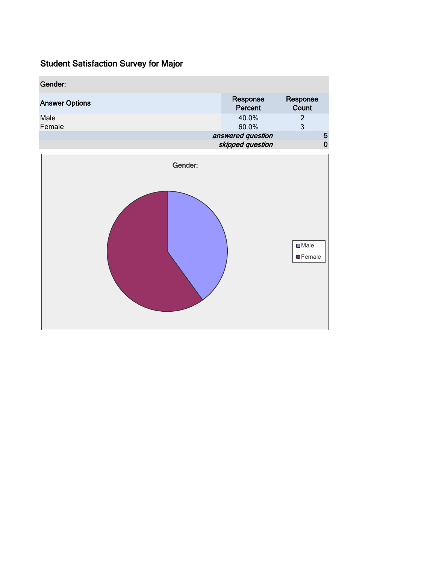| Gender:               |                                       |                   |
|-----------------------|---------------------------------------|-------------------|
| <b>Answer Options</b> | Response<br>Percent                   | Response<br>Count |
| Male<br>Female        | 40.0%<br>60.0%                        | 2<br>3            |
|                       | answered question<br>skipped question | 5<br>0            |

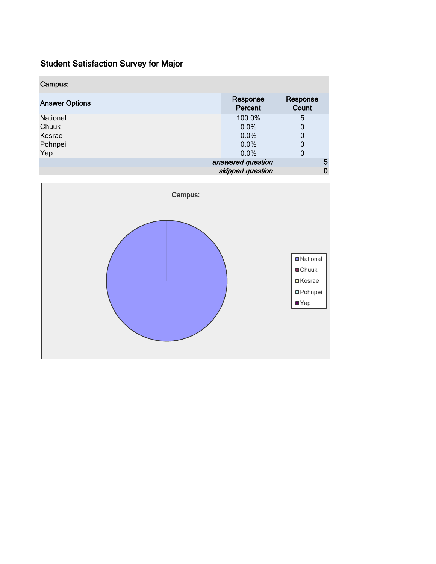| Campus:               |                     |                   |
|-----------------------|---------------------|-------------------|
| <b>Answer Options</b> | Response<br>Percent | Response<br>Count |
| National              | 100.0%              | 5                 |
| Chuuk                 | 0.0%                | 0                 |
| Kosrae                | 0.0%                | 0                 |
| Pohnpei               | 0.0%                | 0                 |
| Yap                   | 0.0%                | 0                 |
|                       | answered question   | 5                 |
|                       | skipped question    | 0                 |

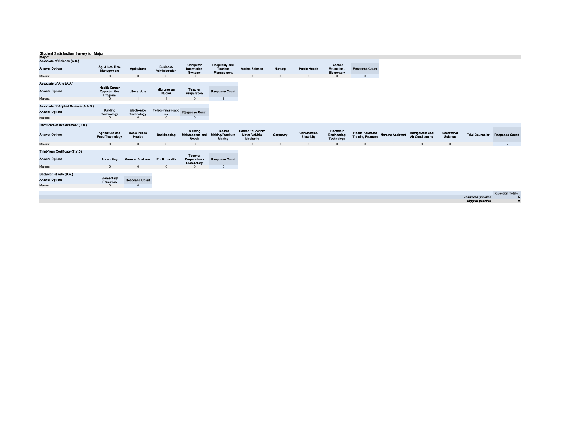| major:<br>Associate of Science (A.S.)                                     |                                                  |                                              |                                   |                                                     |                                              |                                                              |             |                             |                                                |                                                    |                          |                                      |                        |                                       |                        |
|---------------------------------------------------------------------------|--------------------------------------------------|----------------------------------------------|-----------------------------------|-----------------------------------------------------|----------------------------------------------|--------------------------------------------------------------|-------------|-----------------------------|------------------------------------------------|----------------------------------------------------|--------------------------|--------------------------------------|------------------------|---------------------------------------|------------------------|
| <b>Answer Options</b>                                                     | Ag. & Nat. Res.<br>Management                    | Agriculture                                  | <b>Business</b><br>Administration | Computer<br><b>Information</b><br><b>Systems</b>    | Hospitality and<br>Tourism<br>Management     | <b>Marine Science</b>                                        | Nursing     | <b>Public Health</b>        | <b>Teacher</b><br>Education<br>Elementary      | <b>Response Count</b>                              |                          |                                      |                        |                                       |                        |
| Majors:                                                                   | $\Omega$                                         | $\Omega$                                     | $\Omega$                          | $\Omega$                                            |                                              | $\Omega$                                                     | $\mathbf 0$ | $\Omega$                    | $\Omega$                                       | $\mathbf{0}$                                       |                          |                                      |                        |                                       |                        |
| Associate of Arts (A.A.)<br><b>Answer Options</b><br>Majors:              | <b>Health Career</b><br>Opportunities<br>Program | <b>Liberal Arts</b>                          | Micronesian<br><b>Studies</b>     | <b>Teacher</b><br>Preparation<br>$\Omega$           | <b>Response Count</b><br>$\overline{2}$      |                                                              |             |                             |                                                |                                                    |                          |                                      |                        |                                       |                        |
|                                                                           |                                                  |                                              |                                   |                                                     |                                              |                                                              |             |                             |                                                |                                                    |                          |                                      |                        |                                       |                        |
| Associate of Applied Science (A.A.S.)<br><b>Answer Options</b><br>Majors: | <b>Building</b><br>Technology<br>$\Omega$        | <b>Electronics</b><br>Technology<br>$\Omega$ | Telecommunicatio<br>m<br>$\Omega$ | <b>Response Count</b><br>$\Omega$                   |                                              |                                                              |             |                             |                                                |                                                    |                          |                                      |                        |                                       |                        |
| Certificate of Achievement (C.A.)                                         |                                                  |                                              |                                   |                                                     |                                              |                                                              |             |                             |                                                |                                                    |                          |                                      |                        |                                       |                        |
| <b>Answer Options</b>                                                     | <b>Agriculture and</b><br><b>Food Technology</b> | <b>Basic Public</b><br>Health                | Bookkeeping                       | <b>Building</b><br><b>Maintenance and</b><br>Repair | Cabinet<br><b>Making/Furniture</b><br>Making | <b>Career Education:</b><br><b>Motor Vehicle</b><br>Mechanic | Carpentry   | Construction<br>Electricity | Electronic<br>Engineering<br><b>Technology</b> | <b>Health Assistant</b><br><b>Training Program</b> | <b>Nursing Assistant</b> | Refrigerator and<br>Air Conditioning | Secretarial<br>Science | <b>Trial Counselor</b>                | <b>Response Count</b>  |
| Majors:                                                                   | $\Omega$                                         | $\Omega$                                     | $\Omega$                          | $\Omega$                                            | $\Omega$                                     | $\sqrt{ }$                                                   | $\Omega$    | $\Omega$                    | $\Omega$                                       | $\Omega$                                           | $\Omega$                 | $\Omega$                             | $\Omega$               | 5                                     | 5                      |
| Third-Year Certificate (T.Y.C)<br><b>Answer Options</b>                   | Accounting                                       | <b>General Business</b>                      | <b>Public Health</b>              | Teacher<br><b>Preparation</b><br>Elementary         | <b>Response Count</b>                        |                                                              |             |                             |                                                |                                                    |                          |                                      |                        |                                       |                        |
| Majors:                                                                   | $\mathbf{0}$                                     | $\Omega$                                     | $\Omega$                          | $\Omega$                                            | $\overline{0}$                               |                                                              |             |                             |                                                |                                                    |                          |                                      |                        |                                       |                        |
| Bachelor of Arts (B.A.)<br><b>Answer Options</b><br>Majors:               | Elementary<br>Education<br>$\Omega$              | <b>Response Count</b><br>$\Omega$            |                                   |                                                     |                                              |                                                              |             |                             |                                                |                                                    |                          |                                      |                        |                                       |                        |
|                                                                           |                                                  |                                              |                                   |                                                     |                                              |                                                              |             |                             |                                                |                                                    |                          |                                      |                        |                                       | <b>Question Totals</b> |
|                                                                           |                                                  |                                              |                                   |                                                     |                                              |                                                              |             |                             |                                                |                                                    |                          |                                      |                        | answered question<br>skipped question | а<br>$\mathbf 0$       |
|                                                                           |                                                  |                                              |                                   |                                                     |                                              |                                                              |             |                             |                                                |                                                    |                          |                                      |                        |                                       |                        |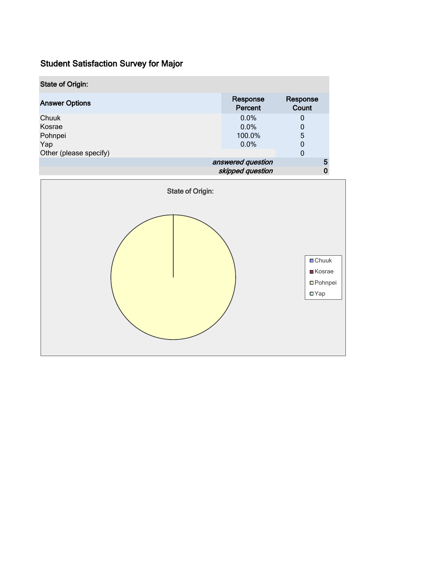| <b>State of Origin:</b> |                     |                   |  |  |  |
|-------------------------|---------------------|-------------------|--|--|--|
| <b>Answer Options</b>   | Response<br>Percent | Response<br>Count |  |  |  |
| Chuuk                   | 0.0%                | 0                 |  |  |  |
| Kosrae                  | 0.0%                | 0                 |  |  |  |
| Pohnpei                 | 100.0%              | 5                 |  |  |  |
| Yap                     | $0.0\%$             | 0                 |  |  |  |
| Other (please specify)  |                     | 0                 |  |  |  |
|                         | answered question   |                   |  |  |  |
| skipped question        |                     |                   |  |  |  |